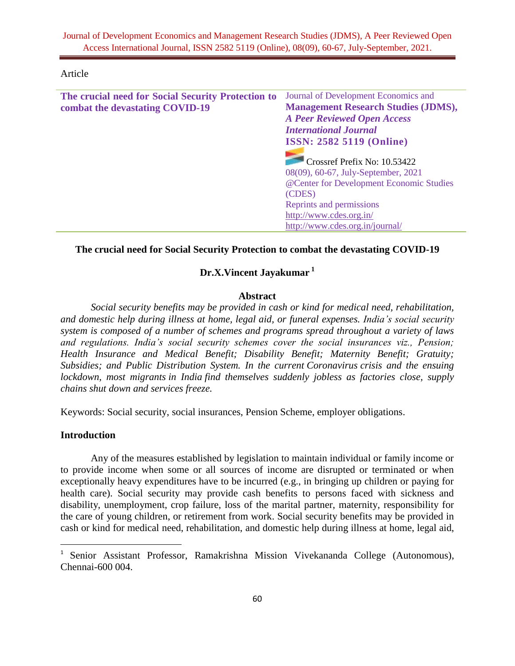Article

| <b>Management Research Studies (JDMS),</b><br>combat the devastating COVID-19<br><b>A Peer Reviewed Open Access</b><br><b>International Journal</b> |
|-----------------------------------------------------------------------------------------------------------------------------------------------------|
|                                                                                                                                                     |
|                                                                                                                                                     |
|                                                                                                                                                     |
| <b>ISSN: 2582 5119 (Online)</b>                                                                                                                     |
|                                                                                                                                                     |
| Crossref Prefix No: 10.53422                                                                                                                        |
| 08(09), 60-67, July-September, 2021                                                                                                                 |
| @Center for Development Economic Studies                                                                                                            |
| (CDES)                                                                                                                                              |
| Reprints and permissions                                                                                                                            |
| http://www.cdes.org.in/                                                                                                                             |
| http://www.cdes.org.in/journal/                                                                                                                     |

## **The crucial need for Social Security Protection to combat the devastating COVID-19**

# **Dr.X.Vincent Jayakumar <sup>1</sup>**

#### **Abstract**

*Social security benefits may be provided in cash or kind for medical need, rehabilitation, and domestic help during illness at home, legal aid, or funeral expenses. India's social security system is composed of a number of schemes and programs spread throughout a variety of laws and regulations. India's social security schemes cover the social insurances viz., Pension; Health Insurance and Medical Benefit; Disability Benefit; Maternity Benefit; Gratuity; Subsidies; and Public Distribution System. In the current Coronavirus crisis and the ensuing lockdown, most migrants in India find themselves suddenly jobless as factories close, supply chains shut down and services freeze.*

Keywords: Social security, social insurances, Pension Scheme, employer obligations.

#### **Introduction**

 $\overline{a}$ 

Any of the measures established by legislation to maintain individual or family income or to provide income when some or all sources of income are disrupted or terminated or when exceptionally heavy expenditures have to be incurred (e.g., in bringing up children or paying for health care). Social security may provide cash benefits to persons faced with sickness and disability, unemployment, crop failure, loss of the marital partner, maternity, responsibility for the care of young children, or retirement from work. Social security benefits may be provided in cash or kind for medical need, rehabilitation, and domestic help during illness at home, legal aid,

<sup>1</sup> Senior Assistant Professor, Ramakrishna Mission Vivekananda College (Autonomous), Chennai-600 004.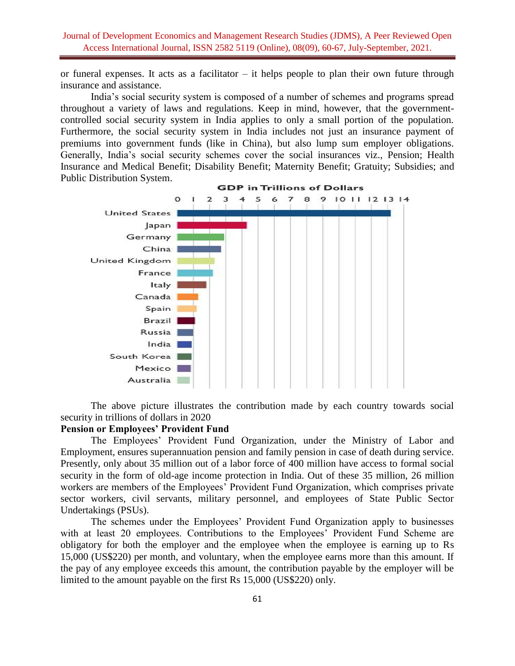or funeral expenses. It acts as a facilitator  $-$  it helps people to plan their own future through insurance and assistance.

India's social security system is composed of a number of schemes and programs spread throughout a variety of laws and regulations. Keep in mind, however, that the governmentcontrolled social security system in India applies to only a small portion of the population. Furthermore, the social security system in India includes not just an insurance payment of premiums into government funds (like in China), but also lump sum employer obligations. Generally, India's social security schemes cover the social insurances viz., Pension; Health Insurance and Medical Benefit; Disability Benefit; Maternity Benefit; Gratuity; Subsidies; and Public Distribution System.



The above picture illustrates the contribution made by each country towards social security in trillions of dollars in 2020

#### **Pension or Employees' Provident Fund**

The Employees' Provident Fund Organization, under the Ministry of Labor and Employment, ensures superannuation pension and family pension in case of death during service. Presently, only about 35 million out of a labor force of 400 million have access to formal social security in the form of old-age income protection in India. Out of these 35 million, 26 million workers are members of the Employees' Provident Fund Organization, which comprises private sector workers, civil servants, military personnel, and employees of State Public Sector Undertakings (PSUs).

The schemes under the Employees' Provident Fund Organization apply to businesses with at least 20 employees. Contributions to the Employees' Provident Fund Scheme are obligatory for both the employer and the employee when the employee is earning up to Rs 15,000 (US\$220) per month, and voluntary, when the employee earns more than this amount. If the pay of any employee exceeds this amount, the contribution payable by the employer will be limited to the amount payable on the first Rs 15,000 (US\$220) only.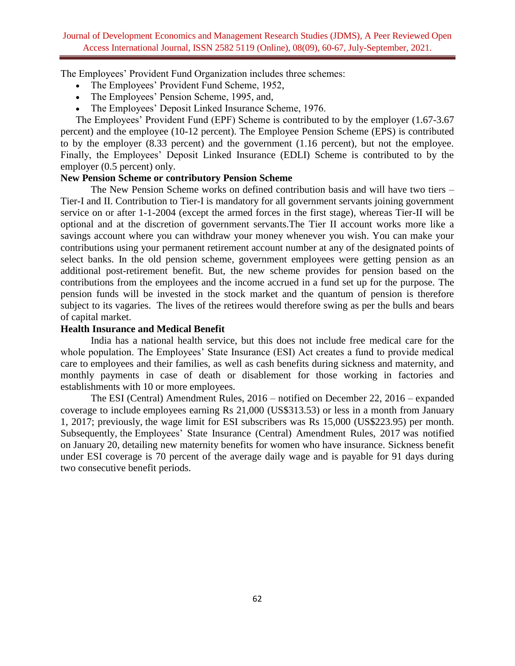The Employees' Provident Fund Organization includes three schemes:

- The Employees' Provident Fund Scheme, 1952,
- The Employees' Pension Scheme, 1995, and,
- The Employees' Deposit Linked Insurance Scheme, 1976.

The Employees' Provident Fund (EPF) Scheme is contributed to by the employer (1.67-3.67 percent) and the employee (10-12 percent). The Employee Pension Scheme (EPS) is contributed to by the employer (8.33 percent) and the government (1.16 percent), but not the employee. Finally, the Employees' Deposit Linked Insurance (EDLI) Scheme is contributed to by the employer (0.5 percent) only.

## **New Pension Scheme or contributory Pension Scheme**

The New Pension Scheme works on defined contribution basis and will have two tiers – Tier-I and II. Contribution to Tier-I is mandatory for all government servants joining government service on or after 1-1-2004 (except the armed forces in the first stage), whereas Tier-II will be optional and at the discretion of government servants.The Tier II account works more like a savings account where you can withdraw your money whenever you wish. You can make your contributions using your permanent retirement account number at any of the designated points of select banks. In the old pension scheme, government employees were getting pension as an additional post-retirement benefit. But, the new scheme provides for pension based on the contributions from the employees and the income accrued in a fund set up for the purpose. The pension funds will be invested in the stock market and the quantum of pension is therefore subject to its vagaries. The lives of the retirees would therefore swing as per the bulls and bears of capital market.

## **Health Insurance and Medical Benefit**

India has a national health service, but this does not include free medical care for the whole population. The Employees' State Insurance (ESI) Act creates a fund to provide medical care to employees and their families, as well as cash benefits during sickness and maternity, and monthly payments in case of death or disablement for those working in factories and establishments with 10 or more employees.

The ESI (Central) Amendment Rules, 2016 – notified on December 22, 2016 – expanded coverage to include employees earning Rs 21,000 (US\$313.53) or less in a month from January 1, 2017; previously, the wage limit for ESI subscribers was Rs 15,000 (US\$223.95) per month. Subsequently, the [Employees' State Insurance \(Central\) Amendment Rules, 2017](http://www.india-briefing.com/news/esi-central-amendment-rules-2017-expands-maternity-health-benefits-13670.html/) was notified on January 20, detailing new maternity benefits for women who have insurance. Sickness benefit under ESI coverage is 70 percent of the average daily wage and is payable for 91 days during two consecutive benefit periods.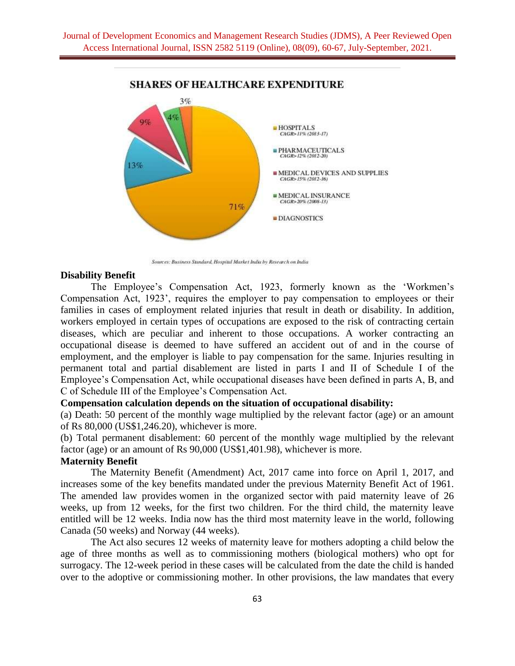

#### **SHARES OF HEALTHCARE EXPENDITURE**

Sources: Business Standard, Hospital Market India by Research on India

#### **Disability Benefit**

The Employee's Compensation Act, 1923, formerly known as the 'Workmen's Compensation Act, 1923', requires the employer to pay compensation to employees or their families in cases of employment related injuries that result in death or disability. In addition, workers employed in certain types of occupations are exposed to the risk of contracting certain diseases, which are peculiar and inherent to those occupations. A worker contracting an occupational disease is deemed to have suffered an accident out of and in the course of employment, and the employer is liable to pay compensation for the same. Injuries resulting in permanent total and partial disablement are listed in parts I and II of Schedule I of the Employee's Compensation Act, while occupational diseases have been defined in parts A, B, and C of Schedule III of the Employee's Compensation Act.

## **Compensation calculation depends on the situation of occupational disability:**

(a) Death: 50 percent of the monthly wage multiplied by the relevant factor (age) or an amount of Rs 80,000 (US\$1,246.20), whichever is more.

(b) Total permanent disablement: 60 percent of the monthly wage multiplied by the relevant factor (age) or an amount of Rs 90,000 (US\$1,401.98), whichever is more.

#### **Maternity Benefit**

The Maternity Benefit (Amendment) Act, 2017 came into force on April 1, 2017, and increases some of the key benefits mandated under the previous Maternity Benefit Act of 1961. The amended law provides [women in the organized sector](http://www.india-briefing.com/news/employing-women-workplace-12267.html/) with paid maternity leave of 26 weeks, up from 12 weeks, for the first two children. For the third child, the maternity leave entitled will be 12 weeks. India now has the third most maternity leave in the world, following Canada (50 weeks) and Norway (44 weeks).

The Act also secures 12 weeks of maternity leave for mothers adopting a child below the age of three months as well as to commissioning mothers (biological mothers) who opt for surrogacy. The 12-week period in these cases will be calculated from the date the child is handed over to the adoptive or commissioning mother. In other provisions, the law mandates that every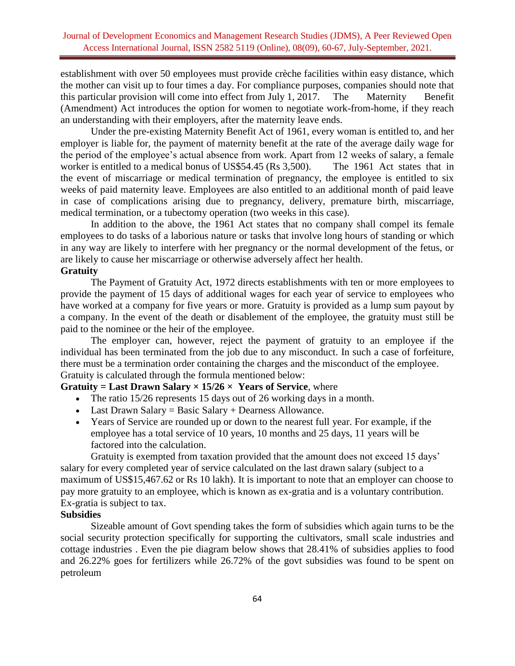establishment with over 50 employees must provide crèche facilities within easy distance, which the mother can visit up to four times a day. For compliance purposes, companies should note that this particular provision will come into effect from July 1, 2017. The Maternity Benefit (Amendment) Act introduces the option for women to negotiate work-from-home, if they reach an understanding with their employers, after the maternity leave ends.

Under the pre-existing Maternity Benefit Act of 1961, every woman is entitled to, and her employer is liable for, the payment of maternity benefit at the rate of the average daily wage for the period of the employee's actual absence from work. Apart from 12 weeks of salary, a female worker is entitled to a medical bonus of US\$54.45 (Rs 3,500). The 1961 Act states that in the event of miscarriage or medical termination of pregnancy, the employee is entitled to six weeks of paid maternity leave. Employees are also entitled to an additional month of paid leave in case of complications arising due to pregnancy, delivery, premature birth, miscarriage, medical termination, or a tubectomy operation (two weeks in this case).

In addition to the above, the 1961 Act states that no company shall compel its female employees to do tasks of a laborious nature or tasks that involve long hours of standing or which in any way are likely to interfere with her pregnancy or the normal development of the fetus, or are likely to cause her miscarriage or otherwise adversely affect her health.

#### **Gratuity**

[The Payment of Gratuity Act, 1972](http://www.india-briefing.com/news/applicability-calculation-gratuity-india-6435.html/) directs establishments with ten or more employees to provide the payment of 15 days of additional wages for each year of service to employees who have worked at a company for five years or more. Gratuity is provided as a lump sum payout by a company. In the event of the death or disablement of the employee, the gratuity must still be paid to the nominee or the heir of the employee.

The employer can, however, reject the payment of gratuity to an employee if the individual has been terminated from the job due to any misconduct. In such a case of forfeiture, there must be a termination order containing the charges and the misconduct of the employee. Gratuity is calculated through the formula mentioned below:

## **Gratuity = Last Drawn Salary**  $\times$  **15/26**  $\times$  **Years of Service, where**

- The ratio 15/26 represents 15 days out of 26 working days in a month.
- Last Drawn Salary = Basic Salary + Dearness Allowance.
- Years of Service are rounded up or down to the nearest full year. For example, if the employee has a total service of 10 years, 10 months and 25 days, 11 years will be factored into the calculation.

Gratuity is exempted from taxation provided that the amount does not exceed 15 days' salary for every completed year of service calculated on the last drawn salary (subject to a maximum of US\$15,467.62 or Rs 10 lakh). It is important to note that an employer can choose to pay more gratuity to an employee, which is known as ex-gratia and is a voluntary contribution. Ex-gratia is subject to tax.

#### **Subsidies**

Sizeable amount of Govt spending takes the form of subsidies which again turns to be the social security protection specifically for supporting the cultivators, small scale industries and cottage industries . Even the pie diagram below shows that 28.41% of subsidies applies to food and 26.22% goes for fertilizers while 26.72% of the govt subsidies was found to be spent on petroleum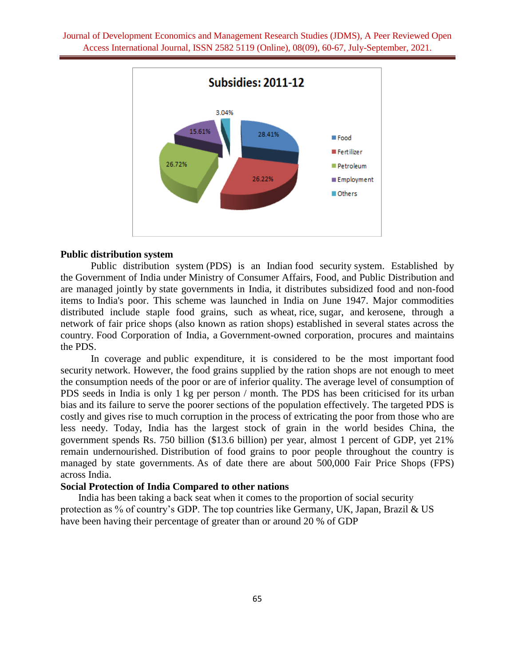

### **Public distribution system**

Public distribution system (PDS) is an Indian food security system. Established by the Government of India under Ministry of Consumer Affairs, Food, and Public Distribution and are managed jointly by state governments in India, it distributes subsidized food and non-food items to India's poor. This scheme was launched in India on June 1947. Major commodities distributed include staple food grains, such as wheat, rice, sugar, and kerosene, through a network of fair price shops (also known as ration shops) established in several states across the country. Food Corporation of India, a Government-owned corporation, procures and maintains the PDS.

In coverage and public expenditure, it is considered to be the most important food security network. However, the food grains supplied by the ration shops are not enough to meet the consumption needs of the poor or are of inferior quality. The average level of consumption of PDS seeds in India is only 1 kg per person / month. The PDS has been criticised for its urban bias and its failure to serve the poorer sections of the population effectively. The targeted PDS is costly and gives rise to much corruption in the process of extricating the poor from those who are less needy. Today, India has the largest stock of grain in the world besides China, the government spends Rs. 750 billion (\$13.6 billion) per year, almost 1 percent of GDP, yet 21% remain undernourished. Distribution of food grains to poor people throughout the country is managed by state governments. As of date there are about 500,000 Fair Price Shops (FPS) across India.

#### **Social Protection of India Compared to other nations**

 India has been taking a back seat when it comes to the proportion of social security protection as % of country's GDP. The top countries like Germany, UK, Japan, Brazil & US have been having their percentage of greater than or around 20 % of GDP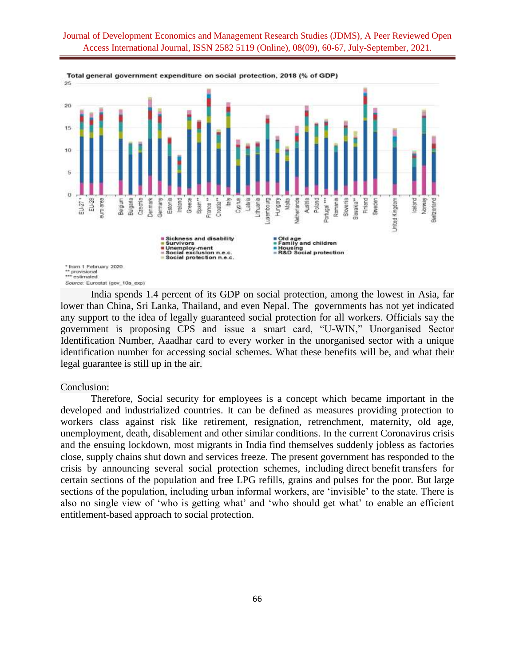

India spends 1.4 percent of its GDP on social protection, among the lowest in Asia, far lower than China, Sri Lanka, Thailand, and even Nepal. The governments has not yet indicated any support to the idea of legally guaranteed social protection for all workers. Officials say the government is proposing CPS and issue a smart card, "U-WIN," Unorganised Sector Identification Number, Aaadhar card to every worker in the unorganised sector with a unique identification number for accessing social schemes. What these benefits will be, and what their legal guarantee is still up in the air.

#### Conclusion:

Therefore, Social security for employees is a concept which became important in the developed and industrialized countries. It can be defined as measures providing protection to workers class against risk like retirement, resignation, retrenchment, maternity, old age, unemployment, death, disablement and other similar conditions. In the current Coronavirus crisis and the ensuing lockdown, most migrants in India find themselves suddenly jobless as factories close, supply chains shut down and services freeze. The present government has responded to the crisis by announcing several social protection schemes, including direct benefit transfers for certain sections of the population and free LPG refills, grains and pulses for the poor. But large sections of the population, including urban informal workers, are 'invisible' to the state. There is also no single view of 'who is getting what' and 'who should get what' to enable an efficient entitlement-based approach to social protection.